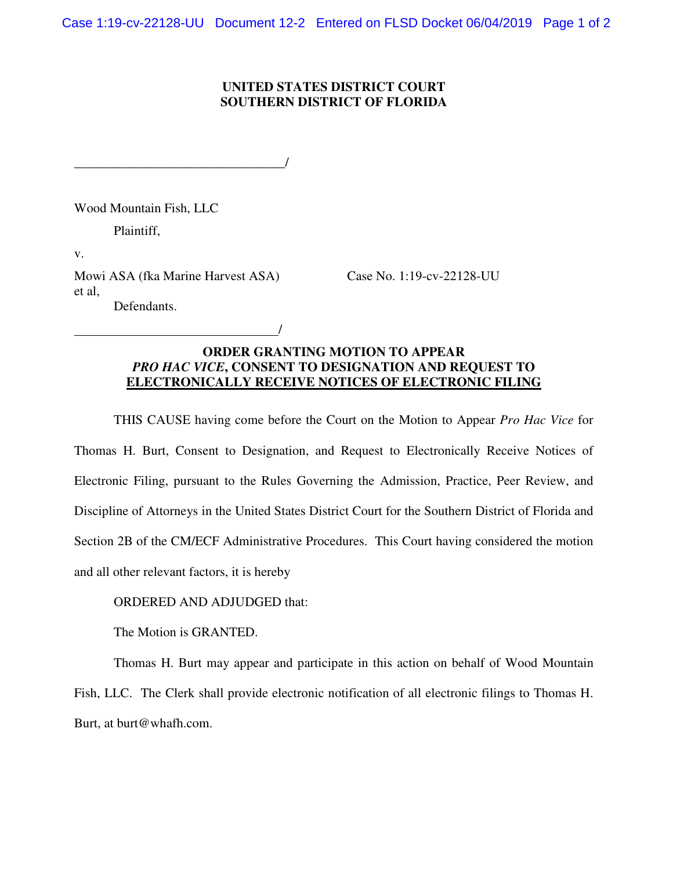## **UNITED STATES DISTRICT COURT SOUTHERN DISTRICT OF FLORIDA**

Wood Mountain Fish, LLC

Plaintiff,

v.

Mowi ASA (fka Marine Harvest ASA) Case No. 1:19-cv-22128-UU et al, Defendants.

\_\_\_\_\_\_\_\_\_\_\_\_\_\_\_\_\_\_\_\_\_\_\_\_\_\_\_\_\_\_\_\_/

/

## **ORDER GRANTING MOTION TO APPEAR**  *PRO HAC VICE***, CONSENT TO DESIGNATION AND REQUEST TO ELECTRONICALLY RECEIVE NOTICES OF ELECTRONIC FILING**

THIS CAUSE having come before the Court on the Motion to Appear *Pro Hac Vice* for Thomas H. Burt, Consent to Designation, and Request to Electronically Receive Notices of Electronic Filing, pursuant to the Rules Governing the Admission, Practice, Peer Review, and Discipline of Attorneys in the United States District Court for the Southern District of Florida and Section 2B of the CM/ECF Administrative Procedures. This Court having considered the motion and all other relevant factors, it is hereby

ORDERED AND ADJUDGED that:

The Motion is GRANTED.

Thomas H. Burt may appear and participate in this action on behalf of Wood Mountain Fish, LLC. The Clerk shall provide electronic notification of all electronic filings to Thomas H. Burt, at burt@whafh.com.